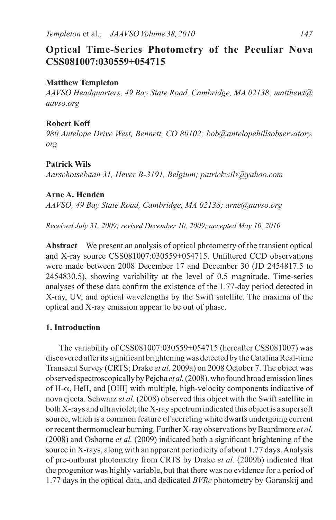# **Optical Time-Series Photometry of the Peculiar Nova CSS081007:030559+054715**

# **Matthew Templeton**

*AAVSO Headquarters, 49 Bay State Road, Cambridge, MA 02138; matthewt@ aavso.org*

## **Robert Koff**

*980 Antelope Drive West, Bennett, CO 80102; bob@antelopehillsobservatory. org*

# **Patrick Wils**

*Aarschotsebaan 31, Hever B-3191, Belgium; patrickwils@yahoo.com*

# **Arne A. Henden**

*AAVSO, 49 Bay State Road, Cambridge, MA 02138; arne@aavso.org*

*Received July 31, 2009; revised December 10, 2009; accepted May 10, 2010*

**Abstract** We present an analysis of optical photometry of the transient optical and X-ray source CSS081007:030559+054715. Unfiltered CCD observations were made between 2008 December 17 and December 30 (JD 2454817.5 to 2454830.5), showing variability at the level of 0.5 magnitude. Time-series analyses of these data confirm the existence of the 1.77-day period detected in X-ray, UV, and optical wavelengths by the Swift satellite. The maxima of the optical and X-ray emission appear to be out of phase.

# **1. Introduction**

The variability of CSS081007:030559+054715 (hereafter CSS081007) was discovered after its significant brightening was detected by the Catalina Real-time Transient Survey (CRTS; Drake *et al.* 2009a) on 2008 October 7. The object was observed spectroscopically by Pejcha *et al.* (2008), who found broad emission lines of H-α, HeII, and [OIII] with multiple, high-velocity components indicative of nova ejecta. Schwarz *et al.* (2008) observed this object with the Swift satellite in both X-rays and ultraviolet; the X-ray spectrum indicated this object is a supersoft source, which is a common feature of accreting white dwarfs undergoing current or recent thermonuclear burning. Further X-ray observations by Beardmore *et al.* (2008) and Osborne *et al.* (2009) indicated both a significant brightening of the source in X-rays, along with an apparent periodicity of about 1.77 days. Analysis of pre-outburst photometry from CRTS by Drake *et al.* (2009b) indicated that the progenitor was highly variable, but that there was no evidence for a period of 1.77 days in the optical data, and dedicated *BVRc* photometry by Goranskij and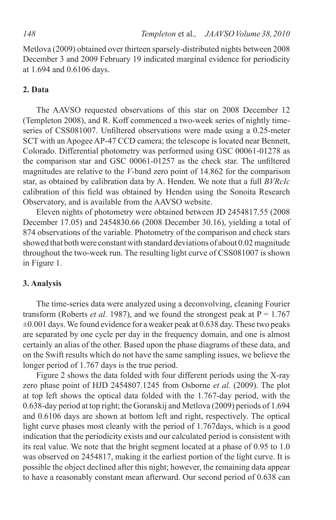Metlova (2009) obtained over thirteen sparsely-distributed nights between 2008 December 3 and 2009 February 19 indicated marginal evidence for periodicity at 1.694 and 0.6106 days.

# **2. Data**

The AAVSO requested observations of this star on 2008 December 12 (Templeton 2008), and R. Koff commenced a two-week series of nightly timeseries of CSS081007. Unfiltered observations were made using a 0.25-meter SCT with an Apogee AP-47 CCD camera; the telescope is located near Bennett, Colorado. Differential photometry was performed using GSC 00061-01278 as the comparison star and GSC 00061-01257 as the check star. The unfiltered magnitudes are relative to the *V*-band zero point of 14.862 for the comparison star, as obtained by calibration data by A. Henden. We note that a full *BVRcIc* calibration of this field was obtained by Henden using the Sonoita Research Observatory, and is available from the AAVSO website.

Eleven nights of photometry were obtained between JD 2454817.55 (2008 December 17.05) and 2454830.66 (2008 December 30.16), yielding a total of 874 observations of the variable. Photometry of the comparison and check stars showed that both were constant with standard deviations of about 0.02 magnitude throughout the two-week run. The resulting light curve of CSS081007 is shown in Figure 1.

### **3. Analysis**

The time-series data were analyzed using a deconvolving, cleaning Fourier transform (Roberts *et al.* 1987), and we found the strongest peak at  $P = 1.767$  $\pm 0.001$  days. We found evidence for a weaker peak at 0.638 day. These two peaks are separated by one cycle per day in the frequency domain, and one is almost certainly an alias of the other. Based upon the phase diagrams of these data, and on the Swift results which do not have the same sampling issues, we believe the longer period of 1.767 days is the true period.

Figure 2 shows the data folded with four different periods using the X-ray zero phase point of HJD 2454807.1245 from Osborne *et al.* (2009). The plot at top left shows the optical data folded with the 1.767-day period, with the 0.638-day period at top right; the Goranskij and Metlova (2009) periods of 1.694 and 0.6106 days are shown at bottom left and right, respectively. The optical light curve phases most cleanly with the period of 1.767days, which is a good indication that the periodicity exists and our calculated period is consistent with its real value. We note that the bright segment located at a phase of 0.95 to 1.0 was observed on 2454817, making it the earliest portion of the light curve. It is possible the object declined after this night; however, the remaining data appear to have a reasonably constant mean afterward. Our second period of 0.638 can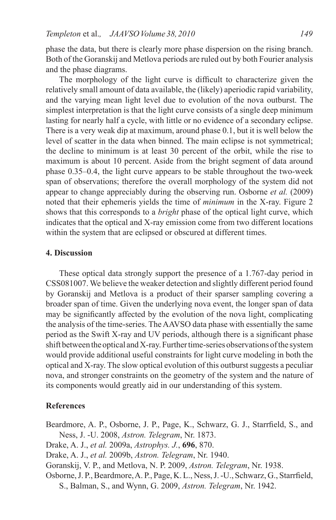phase the data, but there is clearly more phase dispersion on the rising branch. Both of the Goranskij and Metlova periods are ruled out by both Fourier analysis and the phase diagrams.

The morphology of the light curve is difficult to characterize given the relatively small amount of data available, the (likely) aperiodic rapid variability, and the varying mean light level due to evolution of the nova outburst. The simplest interpretation is that the light curve consists of a single deep minimum lasting for nearly half a cycle, with little or no evidence of a secondary eclipse. There is a very weak dip at maximum, around phase 0.1, but it is well below the level of scatter in the data when binned. The main eclipse is not symmetrical; the decline to minimum is at least 30 percent of the orbit, while the rise to maximum is about 10 percent. Aside from the bright segment of data around phase 0.35–0.4, the light curve appears to be stable throughout the two-week span of observations; therefore the overall morphology of the system did not appear to change appreciably during the observing run. Osborne *et al.* (2009) noted that their ephemeris yields the time of *minimum* in the X-ray. Figure 2 shows that this corresponds to a *bright* phase of the optical light curve, which indicates that the optical and X-ray emission come from two different locations within the system that are eclipsed or obscured at different times.

#### **4. Discussion**

These optical data strongly support the presence of a 1.767-day period in CSS081007. We believe the weaker detection and slightly different period found by Goranskij and Metlova is a product of their sparser sampling covering a broader span of time. Given the underlying nova event, the longer span of data may be significantly affected by the evolution of the nova light, complicating the analysis of the time-series. The AAVSO data phase with essentially the same period as the Swift X-ray and UV periods, although there is a significant phase shift between the optical and X-ray. Further time-series observations of the system would provide additional useful constraints for light curve modeling in both the optical and X-ray. The slow optical evolution of this outburst suggests a peculiar nova, and stronger constraints on the geometry of the system and the nature of its components would greatly aid in our understanding of this system.

### **References**

Beardmore, A. P., Osborne, J. P., Page, K., Schwarz, G. J., Starrfield, S., and Ness, J. -U. 2008, *Astron. Telegram*, Nr. 1873.

Drake, A. J., *et al.* 2009a, *Astrophys. J.*, **696**, 870.

Drake, A. J., *et al.* 2009b, *Astron. Telegram*, Nr. 1940.

Goranskij, V. P., and Metlova, N. P. 2009, *Astron. Telegram*, Nr. 1938.

Osborne, J. P., Beardmore, A. P., Page, K. L., Ness, J. -U., Schwarz, G., Starrfield, S., Balman, S., and Wynn, G. 2009, *Astron. Telegram*, Nr. 1942.